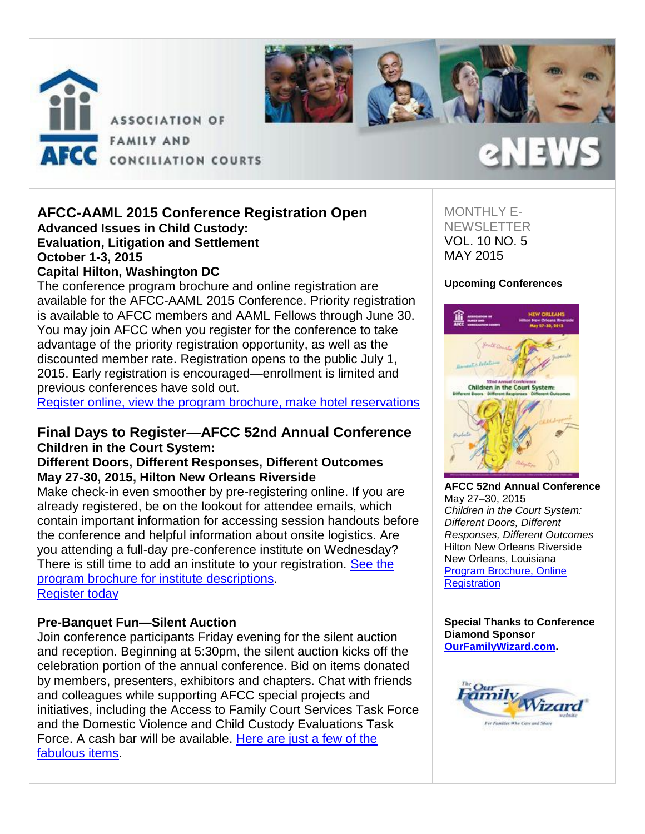



#### **AFCC-AAML 2015 Conference Registration Open Advanced Issues in Child Custody: Evaluation, Litigation and Settlement October 1-3, 2015 Capital Hilton, Washington DC**

The conference program brochure and online registration are available for the AFCC-AAML 2015 Conference. Priority registration is available to AFCC members and AAML Fellows through June 30. You may join AFCC when you register for the conference to take advantage of the priority registration opportunity, as well as the discounted member rate. Registration opens to the public July 1, 2015. Early registration is encouraged—enrollment is limited and previous conferences have sold out.

[Register online, view the program brochure](http://afcc.networkats.com/members_online/utilities/emailct.asp?a48fc62c644c771feb73e6cdf461e69922b932e5b36e8be51f3f15c076bb3e8fe8b6a543fabe3322), make hotel reservations

# **Final Days to Register—AFCC 52nd Annual Conference Children in the Court System:**

## **Different Doors, Different Responses, Different Outcomes May 27-30, 2015, Hilton New Orleans Riverside**

Make check-in even smoother by pre-registering online. If you are already registered, be on the lookout for attendee emails, which contain important information for accessing session handouts before the conference and helpful information about onsite logistics. Are you attending a full-day pre-conference institute on Wednesday? There is still time to add an institute to your registration. See the [program brochure for institute descriptions.](http://afcc.networkats.com/members_online/utilities/emailct.asp?699b0226f55bc8b000c5ff3c02d961968a4bd9fbb36e8be51f3f15c076bb3e8fe8b6a543fabe3322) [Register today](http://afcc.networkats.com/members_online/utilities/emailct.asp?caa4bce418ee6b03bb70997482f3d420bab265bdb36e8be51f3f15c076bb3e8fe8b6a543fabe3322)

### **Pre-Banquet Fun—Silent Auction**

Join conference participants Friday evening for the silent auction and reception. Beginning at 5:30pm, the silent auction kicks off the celebration portion of the annual conference. Bid on items donated by members, presenters, exhibitors and chapters. Chat with friends and colleagues while supporting AFCC special projects and initiatives, including the Access to Family Court Services Task Force and the Domestic Violence and Child Custody Evaluations Task Force. A cash bar will be available. [Here are just a few of the](http://afcc.networkats.com/members_online/utilities/emailct.asp?f90e877e8ff518e29114a61807e1ecf3d15b426eb36e8be51f3f15c076bb3e8fe8b6a543fabe3322)  [fabulous items.](http://afcc.networkats.com/members_online/utilities/emailct.asp?f90e877e8ff518e29114a61807e1ecf3d15b426eb36e8be51f3f15c076bb3e8fe8b6a543fabe3322)

## MONTHLY E-**NEWSLETTER** VOL. 10 NO. 5 MAY 2015

### **Upcoming Conferences**

2 N E V



**AFCC 52nd Annual Conference** May 27–30, 2015 *Children in the Court System: Different Doors, Different Responses, Different Outcomes* Hilton New Orleans Riverside New Orleans, Louisiana [Program Brochure, Online](http://afcc.networkats.com/members_online/utilities/emailct.asp?caa4bce418ee6b03bb70997482f3d420bab265bdb36e8be51f3f15c076bb3e8fe8b6a543fabe3322)  **Registration** 

**Special Thanks to Conference Diamond Sponsor [OurFamilyWizard.com.](http://afcc.networkats.com/members_online/utilities/emailct.asp?1c3bf4dd912c75a2915ff322e3050af8e7d406a4b36e8be51f3f15c076bb3e8fe8b6a543fabe3322)**

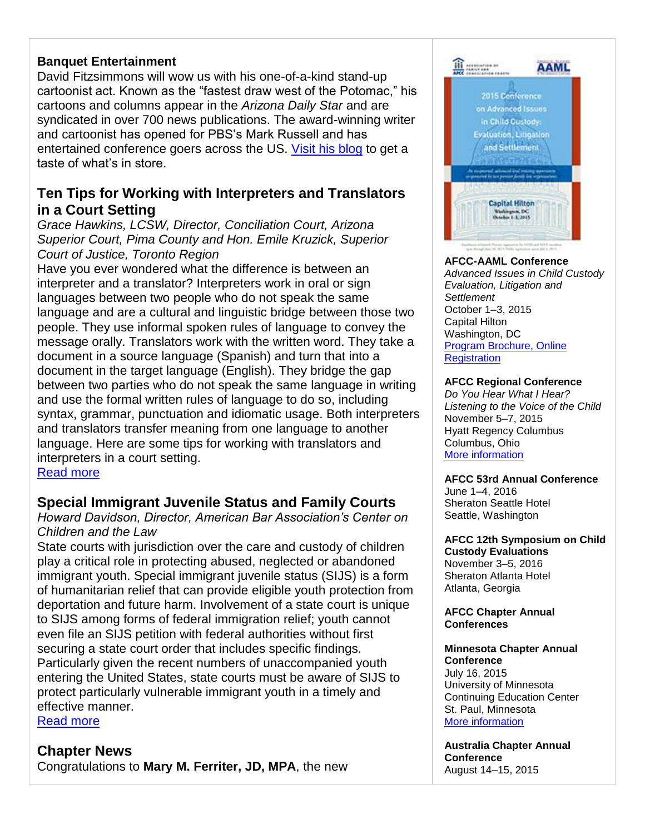## **Banquet Entertainment**

David Fitzsimmons will wow us with his one-of-a-kind stand-up cartoonist act. Known as the "fastest draw west of the Potomac," his cartoons and columns appear in the *Arizona Daily Star* and are syndicated in over 700 news publications. The award-winning writer and cartoonist has opened for PBS's Mark Russell and has entertained conference goers across the US. [Visit his blog](http://afcc.networkats.com/members_online/utilities/emailct.asp?959496bc2011b5110fd75d2598823b1a95b885aab36e8be51f3f15c076bb3e8fe8b6a543fabe3322) to get a taste of what's in store.

# **Ten Tips for Working with Interpreters and Translators in a Court Setting**

*Grace Hawkins, LCSW, Director, Conciliation Court, Arizona Superior Court, Pima County and Hon. Emile Kruzick, Superior Court of Justice, Toronto Region*

Have you ever wondered what the difference is between an interpreter and a translator? Interpreters work in oral or sign languages between two people who do not speak the same language and are a cultural and linguistic bridge between those two people. They use informal spoken rules of language to convey the message orally. Translators work with the written word. They take a document in a source language (Spanish) and turn that into a document in the target language (English). They bridge the gap between two parties who do not speak the same language in writing and use the formal written rules of language to do so, including syntax, grammar, punctuation and idiomatic usage. Both interpreters and translators transfer meaning from one language to another language. Here are some tips for working with translators and interpreters in a court setting.

[Read more](http://afcc.networkats.com/members_online/utilities/emailct.asp?cb327eba9324ceae39e88725722c74c52c7443dcb36e8be51f3f15c076bb3e8fe8b6a543fabe3322)

# **Special Immigrant Juvenile Status and Family Courts**

*Howard Davidson, Director, American Bar Association's Center on Children and the Law*

State courts with jurisdiction over the care and custody of children play a critical role in protecting abused, neglected or abandoned immigrant youth. Special immigrant juvenile status (SIJS) is a form of humanitarian relief that can provide eligible youth protection from deportation and future harm. Involvement of a state court is unique to SIJS among forms of federal immigration relief; youth cannot even file an SIJS petition with federal authorities without first securing a state court order that includes specific findings. Particularly given the recent numbers of unaccompanied youth entering the United States, state courts must be aware of SIJS to protect particularly vulnerable immigrant youth in a timely and effective manner.

[Read more](http://afcc.networkats.com/members_online/utilities/emailct.asp?be9ce960b017f03400c850b4174c28fe02eacb2fb36e8be51f3f15c076bb3e8fe8b6a543fabe3322)

# **Chapter News**

Congratulations to **Mary M. Ferriter, JD, MPA**, the new



#### **AFCC-AAML Conference** *Advanced Issues in Child Custody Evaluation, Litigation and Settlement*

October 1–3, 2015 Capital Hilton Washington, DC [Program Brochure, Online](http://afcc.networkats.com/members_online/utilities/emailct.asp?a48fc62c644c771feb73e6cdf461e69922b932e5b36e8be51f3f15c076bb3e8fe8b6a543fabe3322)  **Registration** 

#### **AFCC Regional Conference**

*Do You Hear What I Hear? Listening to the Voice of the Child* November 5–7, 2015 Hyatt Regency Columbus Columbus, Ohio [More information](http://afcc.networkats.com/members_online/utilities/emailct.asp?242d4b8f405d83895ffa0e9843f349e56981612bb36e8be51f3f15c076bb3e8fe8b6a543fabe3322) 

#### **AFCC 53rd Annual Conference**

June 1–4, 2016 Sheraton Seattle Hotel Seattle, Washington

**AFCC 12th Symposium on Child Custody Evaluations** November 3–5, 2016 Sheraton Atlanta Hotel Atlanta, Georgia

#### **AFCC Chapter Annual Conferences**

## **Minnesota Chapter Annual Conference**  July 16, 2015

University of Minnesota Continuing Education Center St. Paul, Minnesota [More information](http://afcc.networkats.com/members_online/utilities/emailct.asp?d350cda047da20e81212791ac64f56a0f7dc4800b36e8be51f3f15c076bb3e8fe8b6a543fabe3322) 

**Australia Chapter Annual Conference**  August 14–15, 2015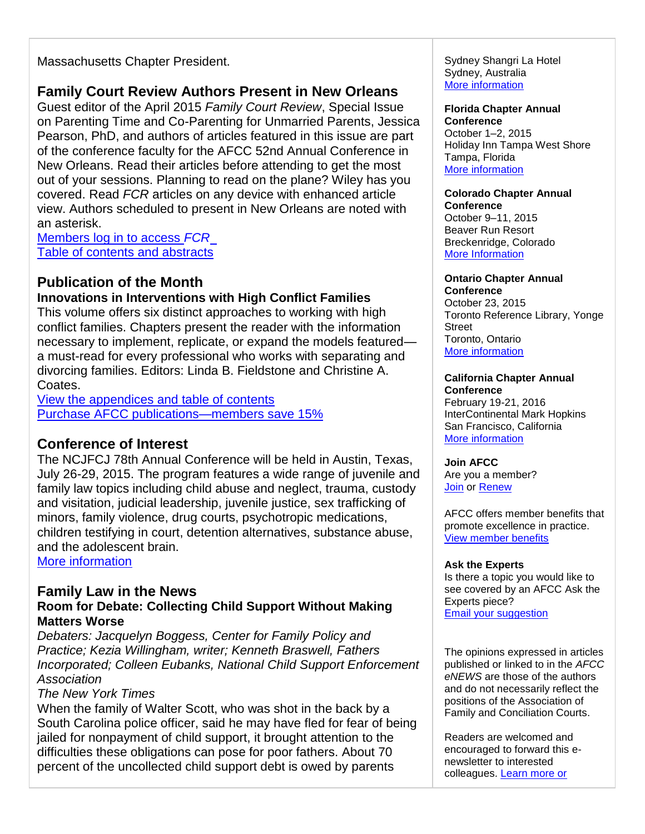Massachusetts Chapter President.

# **Family Court Review Authors Present in New Orleans**

Guest editor of the April 2015 *Family Court Review*, Special Issue on Parenting Time and Co-Parenting for Unmarried Parents, Jessica Pearson, PhD, and authors of articles featured in this issue are part of the conference faculty for the AFCC 52nd Annual Conference in New Orleans. Read their articles before attending to get the most out of your sessions. Planning to read on the plane? Wiley has you covered. Read *FCR* articles on any device with enhanced article view. Authors scheduled to present in New Orleans are noted with an asterisk.

[Members log in to access](http://afcc.networkats.com/members_online/utilities/emailct.asp?298ad689c9c0ee93852d6544cbf58b889c87a25bb36e8be51f3f15c076bb3e8fe8b6a543fabe3322) *FCR* [Table of contents and abstracts](http://afcc.networkats.com/members_online/utilities/emailct.asp?0062f82fdc552b7eb6aae2ba26182220da37c4f6b36e8be51f3f15c076bb3e8fe8b6a543fabe3322)

# **Publication of the Month**

### **Innovations in Interventions with High Conflict Families**

This volume offers six distinct approaches to working with high conflict families. Chapters present the reader with the information necessary to implement, replicate, or expand the models featured a must-read for every professional who works with separating and divorcing families. Editors: Linda B. Fieldstone and Christine A. Coates.

[View the appendices and table of contents](http://afcc.networkats.com/members_online/utilities/emailct.asp?98d64f85512d38824d9e78b08b9d83697c67e6f7b36e8be51f3f15c076bb3e8fe8b6a543fabe3322) [Purchase AFCC publications—members save 15%](http://afcc.networkats.com/members_online/utilities/emailct.asp?3d1dad9a41ac955ca197276eacbdaa34d2944429b36e8be51f3f15c076bb3e8fe8b6a543fabe3322)

# **Conference of Interest**

The NCJFCJ 78th Annual Conference will be held in Austin, Texas, July 26-29, 2015. The program features a wide range of juvenile and family law topics including child abuse and neglect, trauma, custody and visitation, judicial leadership, juvenile justice, sex trafficking of minors, family violence, drug courts, psychotropic medications, children testifying in court, detention alternatives, substance abuse, and the adolescent brain.

[More information](http://afcc.networkats.com/members_online/utilities/emailct.asp?75c382e4b8fb0477c412a52f4427ee9398175400b36e8be51f3f15c076bb3e8fe8b6a543fabe3322) 

## **Family Law in the News**

# **Room for Debate: Collecting Child Support Without Making Matters Worse**

*Debaters: Jacquelyn Boggess, Center for Family Policy and Practice; Kezia Willingham, writer; Kenneth Braswell, Fathers Incorporated; Colleen Eubanks, National Child Support Enforcement Association*

# *The New York Times*

When the family of Walter Scott, who was shot in the back by a South Carolina police officer, said he may have fled for fear of being jailed for nonpayment of child support, it brought attention to the difficulties these obligations can pose for poor fathers. About 70 percent of the uncollected child support debt is owed by parents

Sydney Shangri La Hotel Sydney, Australia [More information](http://afcc.networkats.com/members_online/utilities/emailct.asp?5665b616c686b057829283313f6f77596fe868b1b36e8be51f3f15c076bb3e8fe8b6a543fabe3322) 

#### **Florida Chapter Annual Conference**  October 1–2, 2015 Holiday Inn Tampa West Shore Tampa, Florida [More information](http://afcc.networkats.com/members_online/utilities/emailct.asp?3583fb8713396c28c4cbbf0eaef1717dec6ec6ffb36e8be51f3f15c076bb3e8fe8b6a543fabe3322)

#### **Colorado Chapter Annual Conference**

October 9–11, 2015 Beaver Run Resort Breckenridge, Colorado [More Information](http://afcc.networkats.com/members_online/utilities/emailct.asp?29887beff34916898867be5bf1acefecd69419f7b36e8be51f3f15c076bb3e8fe8b6a543fabe3322) 

# **Ontario Chapter Annual**

**Conference**  October 23, 2015 Toronto Reference Library, Yonge Street Toronto, Ontario [More information](http://afcc.networkats.com/members_online/utilities/emailct.asp?abe6a42e78850b3a5fd497316e161dd886210bacb36e8be51f3f15c076bb3e8fe8b6a543fabe3322) 

#### **California Chapter Annual Conference**

February 19-21, 2016 InterContinental Mark Hopkins San Francisco, California [More information](http://afcc.networkats.com/members_online/utilities/emailct.asp?e70168bcc1f0d4c4b44deb7cd875a8add9d38701b36e8be51f3f15c076bb3e8fe8b6a543fabe3322) 

### **Join AFCC**

Are you a member? [Join](http://afcc.networkats.com/members_online/utilities/emailct.asp?83d281db13b41060ebdc13f7fa7a96c280a1bf2bb36e8be51f3f15c076bb3e8fe8b6a543fabe3322) or [Renew](http://afcc.networkats.com/members_online/utilities/emailct.asp?0428917e726c20e3b2cb8b735dc09107ee3c16e0b36e8be51f3f15c076bb3e8fe8b6a543fabe3322)

AFCC offers member benefits that promote excellence in practice. [View member benefits](http://afcc.networkats.com/members_online/utilities/emailct.asp?15f3634853ec9280a93f9393583635402d352250b36e8be51f3f15c076bb3e8fe8b6a543fabe3322)

#### **Ask the Experts**

Is there a topic you would like to see covered by an AFCC Ask the Experts piece? [Email your suggestion](mailto:editor@afccnet.org)

The opinions expressed in articles published or linked to in the *AFCC eNEWS* are those of the authors and do not necessarily reflect the positions of the Association of Family and Conciliation Courts.

Readers are welcomed and encouraged to forward this enewsletter to interested colleagues. [Learn more or](http://afcc.networkats.com/members_online/utilities/emailct.asp?1a4a06f99920c12ae6907fba17fe6b48b465c179b36e8be51f3f15c076bb3e8fe8b6a543fabe3322)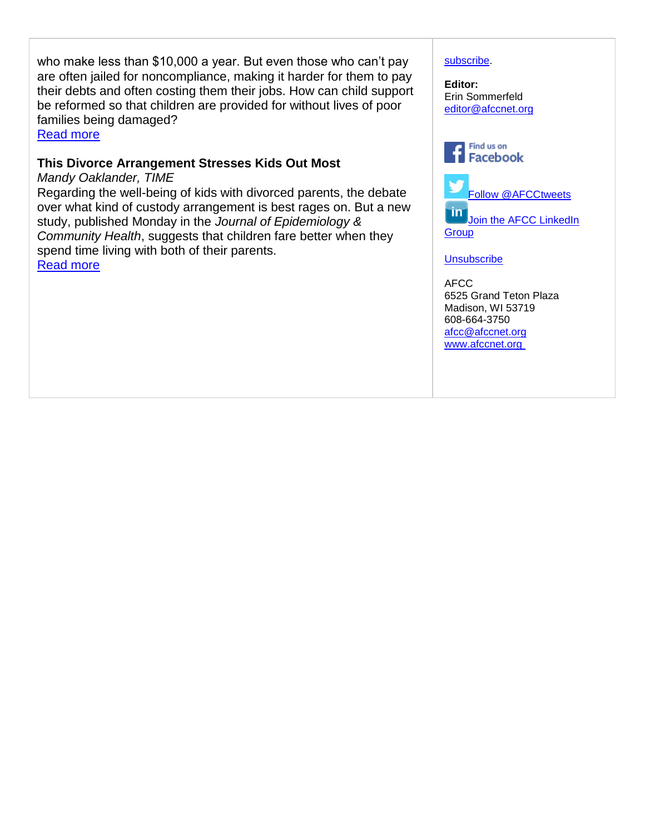who make less than \$10,000 a year. But even those who can't pay are often jailed for noncompliance, making it harder for them to pay their debts and often costing them their jobs. How can child support be reformed so that children are provided for without lives of poor families being damaged?

[Read more](http://afcc.networkats.com/members_online/utilities/emailct.asp?23562e15b750ecf3650c5df6e1673c0cbcb7b408b36e8be51f3f15c076bb3e8fe8b6a543fabe3322) 

### **This Divorce Arrangement Stresses Kids Out Most**

*Mandy Oaklander, TIME* Regarding the well-being of kids with divorced parents, the debate over what kind of custody arrangement is best rages on. But a new study, published Monday in the *Journal of Epidemiology & Community Health*, suggests that children fare better when they spend time living with both of their parents. [Read more](http://afcc.networkats.com/members_online/utilities/emailct.asp?0b3a0ea41ae48d84374c8e370fcd6170b133078eb36e8be51f3f15c076bb3e8fe8b6a543fabe3322)

#### [subscribe.](http://afcc.networkats.com/members_online/utilities/emailct.asp?1a4a06f99920c12ae6907fba17fe6b48b465c179b36e8be51f3f15c076bb3e8fe8b6a543fabe3322)

**Editor:**  Erin Sommerfeld [editor@afccnet.org](mailto:editor@afccnet.org)



[Follow @AFCCtweets](http://afcc.networkats.com/members_online/utilities/emailct.asp?16e35f06fab979ba5615020de69c984916a00779b36e8be51f3f15c076bb3e8fe8b6a543fabe3322)  $\mathsf{in}$ Join the AFCC LinkedIn

**[Group](http://afcc.networkats.com/members_online/utilities/emailct.asp?0ebfa8c55ddae2bb05fad76cb39898326344ad31b36e8be51f3f15c076bb3e8fe8b6a543fabe3322)** 

**[Unsubscribe](mailto:afcc@afccnet.org)** 

AFCC 6525 Grand Teton Plaza Madison, WI 53719 608-664-3750 [afcc@afccnet.org](mailto:afcc@afccnet.org) [www.afccnet.org](http://afcc.networkats.com/members_online/utilities/emailct.asp?8669cccb2a75a83a259908350b0f52329875641bb36e8be51f3f15c076bb3e8fe8b6a543fabe3322)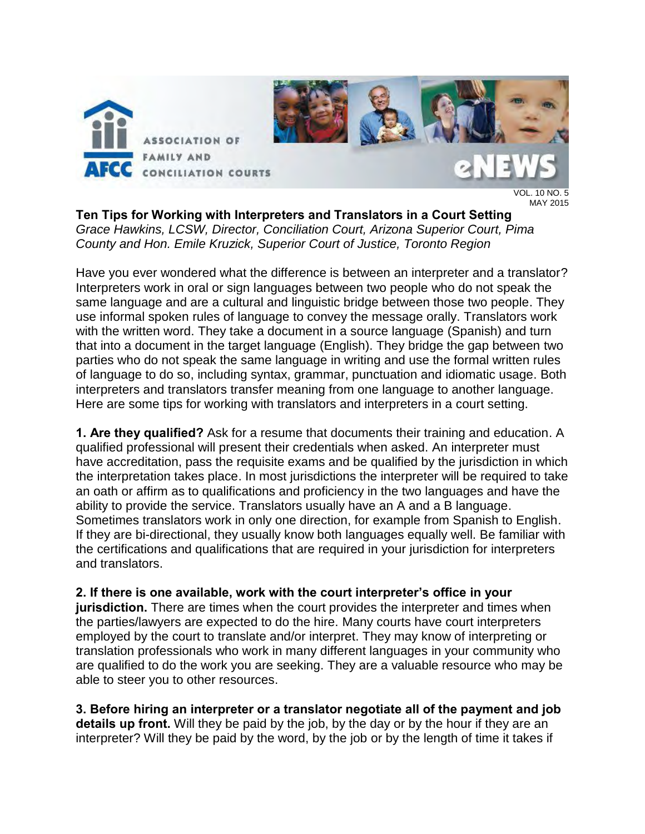

 $.10 N<sub>O</sub>$ . 5 MAY 2015

**Ten Tips for Working with Interpreters and Translators in a Court Setting**  *Grace Hawkins, LCSW, Director, Conciliation Court, Arizona Superior Court, Pima County and Hon. Emile Kruzick, Superior Court of Justice, Toronto Region* 

Have you ever wondered what the difference is between an interpreter and a translator? Interpreters work in oral or sign languages between two people who do not speak the same language and are a cultural and linguistic bridge between those two people. They use informal spoken rules of language to convey the message orally. Translators work with the written word. They take a document in a source language (Spanish) and turn that into a document in the target language (English). They bridge the gap between two parties who do not speak the same language in writing and use the formal written rules of language to do so, including syntax, grammar, punctuation and idiomatic usage. Both interpreters and translators transfer meaning from one language to another language. Here are some tips for working with translators and interpreters in a court setting.

**1. Are they qualified?** Ask for a resume that documents their training and education. A qualified professional will present their credentials when asked. An interpreter must have accreditation, pass the requisite exams and be qualified by the jurisdiction in which the interpretation takes place. In most jurisdictions the interpreter will be required to take an oath or affirm as to qualifications and proficiency in the two languages and have the ability to provide the service. Translators usually have an A and a B language. Sometimes translators work in only one direction, for example from Spanish to English. If they are bi-directional, they usually know both languages equally well. Be familiar with the certifications and qualifications that are required in your jurisdiction for interpreters and translators.

**2. If there is one available, work with the court interpreter's office in your jurisdiction.** There are times when the court provides the interpreter and times when the parties/lawyers are expected to do the hire. Many courts have court interpreters employed by the court to translate and/or interpret. They may know of interpreting or translation professionals who work in many different languages in your community who are qualified to do the work you are seeking. They are a valuable resource who may be able to steer you to other resources.

**3. Before hiring an interpreter or a translator negotiate all of the payment and job details up front.** Will they be paid by the job, by the day or by the hour if they are an interpreter? Will they be paid by the word, by the job or by the length of time it takes if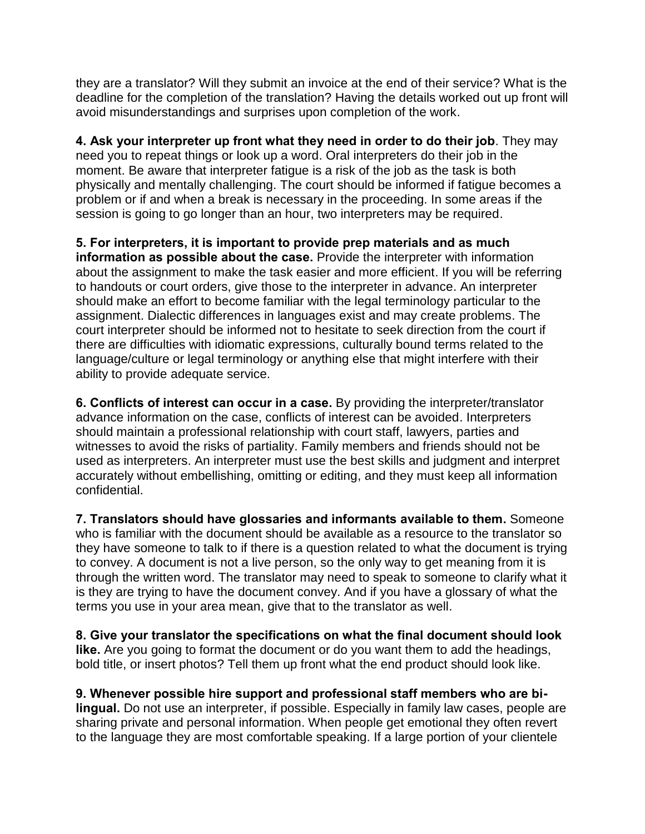they are a translator? Will they submit an invoice at the end of their service? What is the deadline for the completion of the translation? Having the details worked out up front will avoid misunderstandings and surprises upon completion of the work.

**4. Ask your interpreter up front what they need in order to do their job**. They may need you to repeat things or look up a word. Oral interpreters do their job in the moment. Be aware that interpreter fatigue is a risk of the job as the task is both physically and mentally challenging. The court should be informed if fatigue becomes a problem or if and when a break is necessary in the proceeding. In some areas if the session is going to go longer than an hour, two interpreters may be required.

**5. For interpreters, it is important to provide prep materials and as much information as possible about the case.** Provide the interpreter with information about the assignment to make the task easier and more efficient. If you will be referring to handouts or court orders, give those to the interpreter in advance. An interpreter should make an effort to become familiar with the legal terminology particular to the assignment. Dialectic differences in languages exist and may create problems. The court interpreter should be informed not to hesitate to seek direction from the court if there are difficulties with idiomatic expressions, culturally bound terms related to the language/culture or legal terminology or anything else that might interfere with their ability to provide adequate service.

**6. Conflicts of interest can occur in a case.** By providing the interpreter/translator advance information on the case, conflicts of interest can be avoided. Interpreters should maintain a professional relationship with court staff, lawyers, parties and witnesses to avoid the risks of partiality. Family members and friends should not be used as interpreters. An interpreter must use the best skills and judgment and interpret accurately without embellishing, omitting or editing, and they must keep all information confidential.

**7. Translators should have glossaries and informants available to them.** Someone who is familiar with the document should be available as a resource to the translator so they have someone to talk to if there is a question related to what the document is trying to convey. A document is not a live person, so the only way to get meaning from it is through the written word. The translator may need to speak to someone to clarify what it is they are trying to have the document convey. And if you have a glossary of what the terms you use in your area mean, give that to the translator as well.

**8. Give your translator the specifications on what the final document should look like.** Are you going to format the document or do you want them to add the headings, bold title, or insert photos? Tell them up front what the end product should look like.

**9. Whenever possible hire support and professional staff members who are bilingual.** Do not use an interpreter, if possible. Especially in family law cases, people are sharing private and personal information. When people get emotional they often revert to the language they are most comfortable speaking. If a large portion of your clientele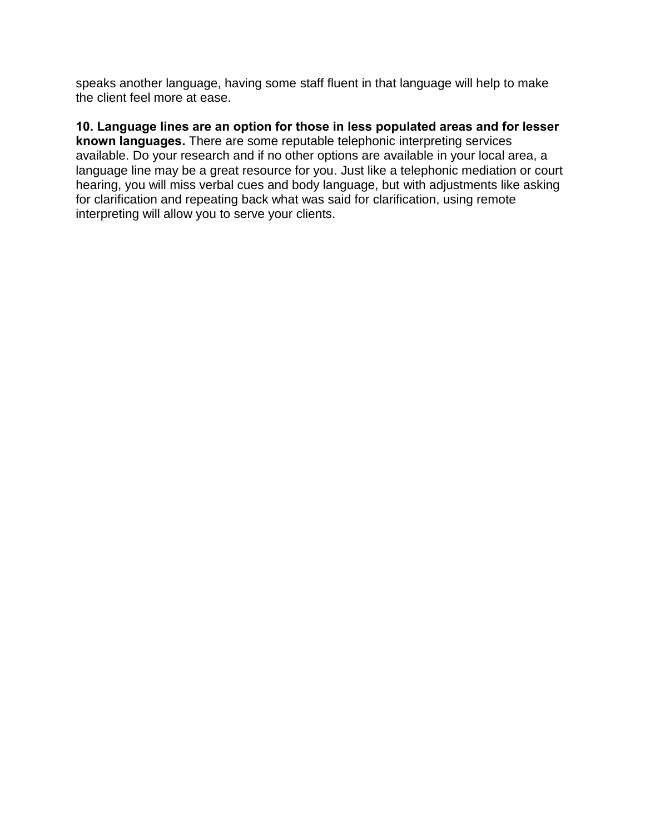speaks another language, having some staff fluent in that language will help to make the client feel more at ease.

**10. Language lines are an option for those in less populated areas and for lesser known languages.** There are some reputable telephonic interpreting services available. Do your research and if no other options are available in your local area, a language line may be a great resource for you. Just like a telephonic mediation or court hearing, you will miss verbal cues and body language, but with adjustments like asking for clarification and repeating back what was said for clarification, using remote interpreting will allow you to serve your clients.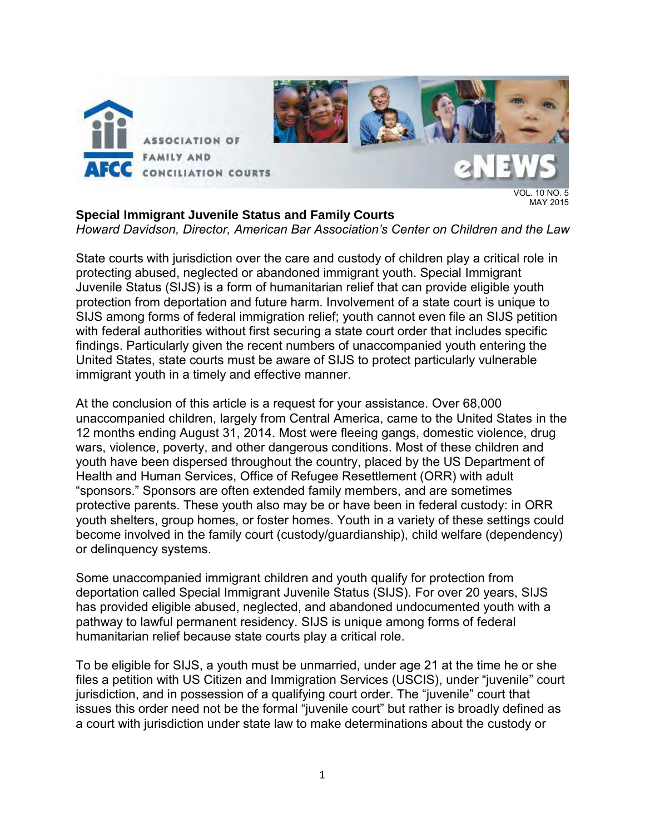

### **Special Immigrant Juvenile Status and Family Courts**

MAY 2015

*Howard Davidson, Director, American Bar Association's Center on Children and the Law* 

State courts with jurisdiction over the care and custody of children play a critical role in protecting abused, neglected or abandoned immigrant youth. Special Immigrant Juvenile Status (SIJS) is a form of humanitarian relief that can provide eligible youth protection from deportation and future harm. Involvement of a state court is unique to SIJS among forms of federal immigration relief; youth cannot even file an SIJS petition with federal authorities without first securing a state court order that includes specific findings. Particularly given the recent numbers of unaccompanied youth entering the United States, state courts must be aware of SIJS to protect particularly vulnerable immigrant youth in a timely and effective manner.

At the conclusion of this article is a request for your assistance. Over 68,000 unaccompanied children, largely from Central America, came to the United States in the 12 months ending August 31, 2014. Most were fleeing gangs, domestic violence, drug wars, violence, poverty, and other dangerous conditions. Most of these children and youth have been dispersed throughout the country, placed by the US Department of Health and Human Services, Office of Refugee Resettlement (ORR) with adult "sponsors." Sponsors are often extended family members, and are sometimes protective parents. These youth also may be or have been in federal custody: in ORR youth shelters, group homes, or foster homes. Youth in a variety of these settings could become involved in the family court (custody/guardianship), child welfare (dependency) or delinquency systems.

Some unaccompanied immigrant children and youth qualify for protection from deportation called Special Immigrant Juvenile Status (SIJS). For over 20 years, SIJS has provided eligible abused, neglected, and abandoned undocumented youth with a pathway to lawful permanent residency. SIJS is unique among forms of federal humanitarian relief because state courts play a critical role.

To be eligible for SIJS, a youth must be unmarried, under age 21 at the time he or she files a petition with US Citizen and Immigration Services (USCIS), under "juvenile" court jurisdiction, and in possession of a qualifying court order. The "juvenile" court that issues this order need not be the formal "juvenile court" but rather is broadly defined as a court with jurisdiction under state law to make determinations about the custody or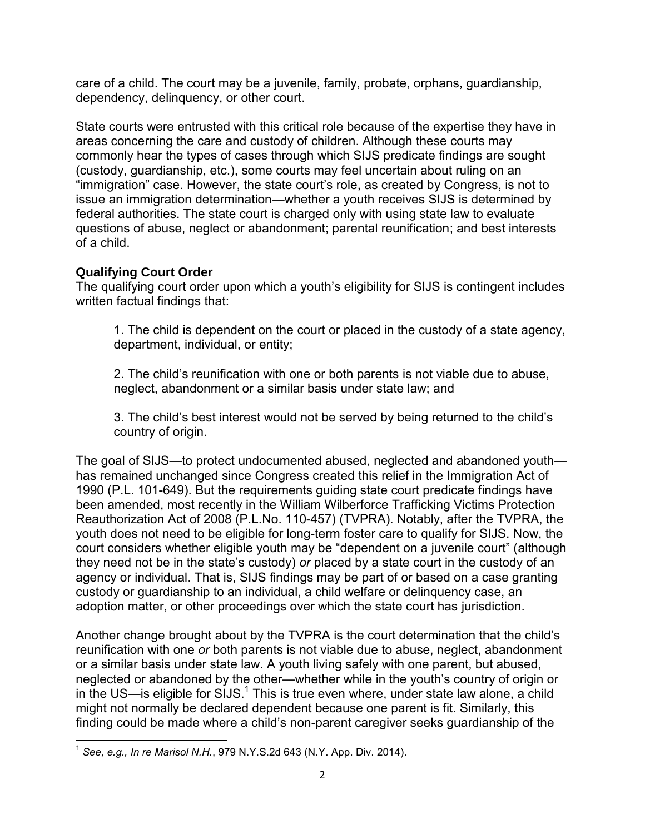care of a child. The court may be a juvenile, family, probate, orphans, guardianship, dependency, delinquency, or other court.

State courts were entrusted with this critical role because of the expertise they have in areas concerning the care and custody of children. Although these courts may commonly hear the types of cases through which SIJS predicate findings are sought (custody, guardianship, etc.), some courts may feel uncertain about ruling on an "immigration" case. However, the state court's role, as created by Congress, is not to issue an immigration determination—whether a youth receives SIJS is determined by federal authorities. The state court is charged only with using state law to evaluate questions of abuse, neglect or abandonment; parental reunification; and best interests of a child.

# **Qualifying Court Order**

The qualifying court order upon which a youth's eligibility for SIJS is contingent includes written factual findings that:

1. The child is dependent on the court or placed in the custody of a state agency, department, individual, or entity;

2. The child's reunification with one or both parents is not viable due to abuse, neglect, abandonment or a similar basis under state law; and

3. The child's best interest would not be served by being returned to the child's country of origin.

The goal of SIJS—to protect undocumented abused, neglected and abandoned youth has remained unchanged since Congress created this relief in the Immigration Act of 1990 (P.L. 101-649). But the requirements guiding state court predicate findings have been amended, most recently in the William Wilberforce Trafficking Victims Protection Reauthorization Act of 2008 (P.L.No. 110-457) (TVPRA). Notably, after the TVPRA, the youth does not need to be eligible for long-term foster care to qualify for SIJS. Now, the court considers whether eligible youth may be "dependent on a juvenile court" (although they need not be in the state's custody) *or* placed by a state court in the custody of an agency or individual. That is, SIJS findings may be part of or based on a case granting custody or guardianship to an individual, a child welfare or delinquency case, an adoption matter, or other proceedings over which the state court has jurisdiction.

Another change brought about by the TVPRA is the court determination that the child's reunification with one *or* both parents is not viable due to abuse, neglect, abandonment or a similar basis under state law. A youth living safely with one parent, but abused, neglected or abandoned by the other—whether while in the youth's country of origin or in the US—is eligible for SIJS.<sup>1</sup> This is true even where, under state law alone, a child might not normally be declared dependent because one parent is fit. Similarly, this finding could be made where a child's non-parent caregiver seeks guardianship of the

 $\overline{\phantom{a}}$ 1 *See, e.g., In re Marisol N.H.*, 979 N.Y.S.2d 643 (N.Y. App. Div. 2014).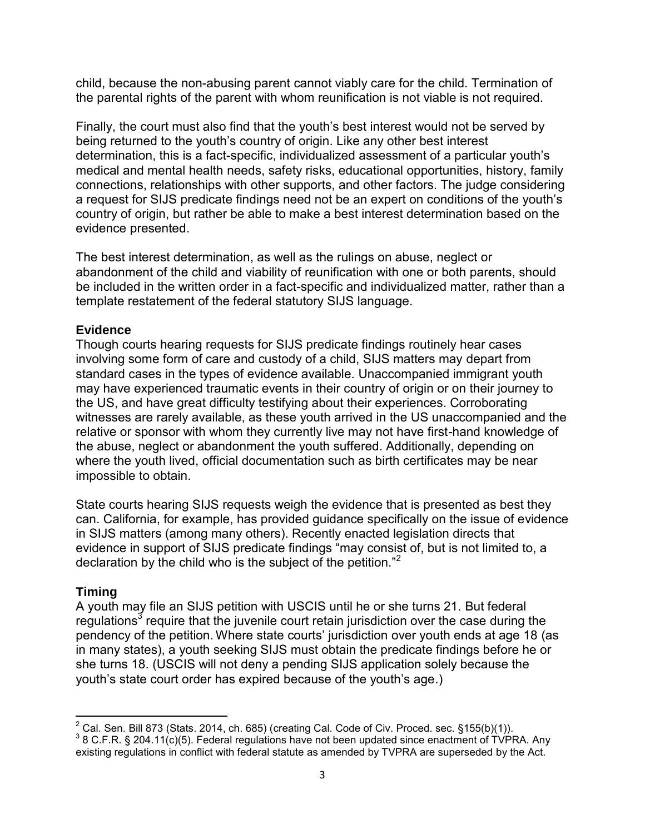child, because the non-abusing parent cannot viably care for the child. Termination of the parental rights of the parent with whom reunification is not viable is not required.

Finally, the court must also find that the youth's best interest would not be served by being returned to the youth's country of origin. Like any other best interest determination, this is a fact-specific, individualized assessment of a particular youth's medical and mental health needs, safety risks, educational opportunities, history, family connections, relationships with other supports, and other factors. The judge considering a request for SIJS predicate findings need not be an expert on conditions of the youth's country of origin, but rather be able to make a best interest determination based on the evidence presented.

The best interest determination, as well as the rulings on abuse, neglect or abandonment of the child and viability of reunification with one or both parents, should be included in the written order in a fact-specific and individualized matter, rather than a template restatement of the federal statutory SIJS language.

## **Evidence**

Though courts hearing requests for SIJS predicate findings routinely hear cases involving some form of care and custody of a child, SIJS matters may depart from standard cases in the types of evidence available. Unaccompanied immigrant youth may have experienced traumatic events in their country of origin or on their journey to the US, and have great difficulty testifying about their experiences. Corroborating witnesses are rarely available, as these youth arrived in the US unaccompanied and the relative or sponsor with whom they currently live may not have first-hand knowledge of the abuse, neglect or abandonment the youth suffered. Additionally, depending on where the youth lived, official documentation such as birth certificates may be near impossible to obtain.

State courts hearing SIJS requests weigh the evidence that is presented as best they can. California, for example, has provided guidance specifically on the issue of evidence in SIJS matters (among many others). Recently enacted legislation directs that evidence in support of SIJS predicate findings "may consist of, but is not limited to, a declaration by the child who is the subject of the petition."<sup>2</sup>

### **Timing**

A youth may file an SIJS petition with USCIS until he or she turns 21. But federal regulations<sup>3</sup> require that the juvenile court retain jurisdiction over the case during the pendency of the petition. Where state courts' jurisdiction over youth ends at age 18 (as in many states), a youth seeking SIJS must obtain the predicate findings before he or she turns 18. (USCIS will not deny a pending SIJS application solely because the youth's state court order has expired because of the youth's age.)

 $\overline{\phantom{a}}$  $2^2$  Cal. Sen. Bill 873 (Stats. 2014, ch. 685) (creating Cal. Code of Civ. Proced. sec. §155(b)(1)).

 $3$  8 C.F.R. § 204.11(c)(5). Federal regulations have not been updated since enactment of TVPRA. Any existing regulations in conflict with federal statute as amended by TVPRA are superseded by the Act.